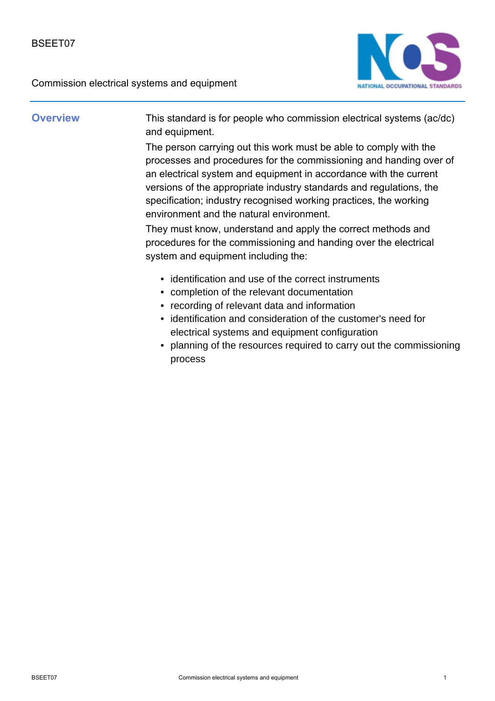

**Overview** This standard is for people who commission electrical systems (ac/dc) and equipment.

> The person carrying out this work must be able to comply with the processes and procedures for the commissioning and handing over of an electrical system and equipment in accordance with the current versions of the appropriate industry standards and regulations, the specification; industry recognised working practices, the working environment and the natural environment.

They must know, understand and apply the correct methods and procedures for the commissioning and handing over the electrical system and equipment including the:

- identification and use of the correct instruments
- completion of the relevant documentation
- recording of relevant data and information
- identification and consideration of the customer's need for electrical systems and equipment configuration
- planning of the resources required to carry out the commissioning process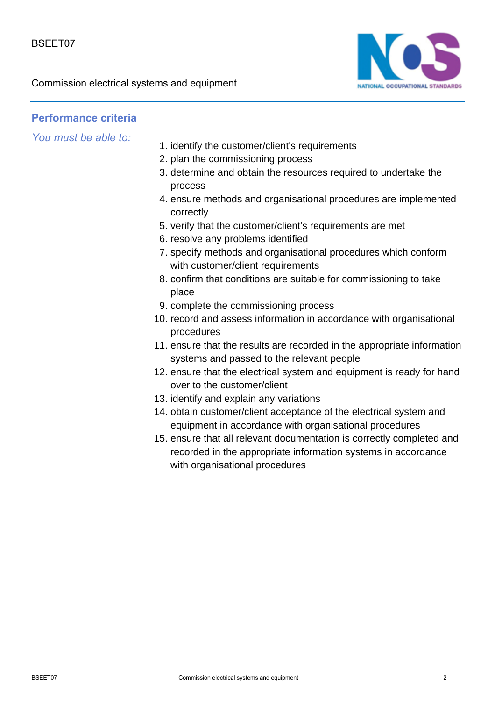

## **Performance criteria**

*You must be able to:*

- 1. identify the customer/client's requirements
- 2. plan the commissioning process
- 3. determine and obtain the resources required to undertake the process
- 4. ensure methods and organisational procedures are implemented correctly
- 5. verify that the customer/client's requirements are met
- 6. resolve any problems identified
- 7. specify methods and organisational procedures which conform with customer/client requirements
- 8. confirm that conditions are suitable for commissioning to take place
- 9. complete the commissioning process
- 10. record and assess information in accordance with organisational procedures
- 11. ensure that the results are recorded in the appropriate information systems and passed to the relevant people
- 12. ensure that the electrical system and equipment is ready for hand over to the customer/client
- 13. identify and explain any variations
- 14. obtain customer/client acceptance of the electrical system and equipment in accordance with organisational procedures
- 15. ensure that all relevant documentation is correctly completed and recorded in the appropriate information systems in accordance with organisational procedures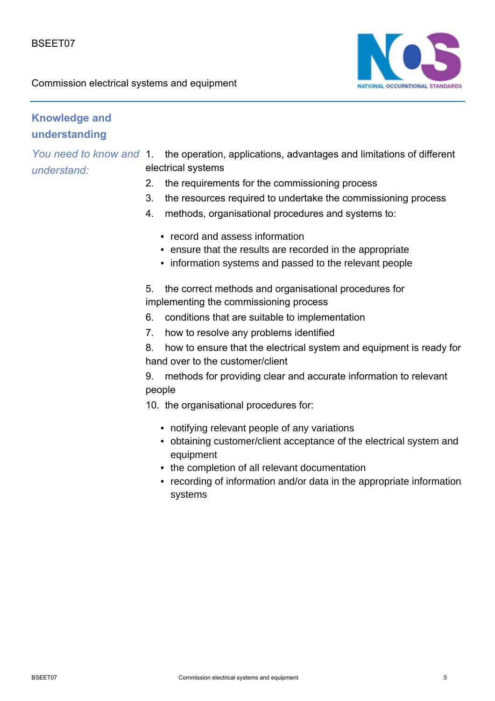

# **Knowledge and understanding**

*You need to know and understand:*

1. the operation, applications, advantages and limitations of different electrical systems

- 2. the requirements for the commissioning process
- 3. the resources required to undertake the commissioning process
- 4. methods, organisational procedures and systems to:
	- record and assess information
	- ensure that the results are recorded in the appropriate
	- information systems and passed to the relevant people

5. the correct methods and organisational procedures for implementing the commissioning process

- 6. conditions that are suitable to implementation
- 7. how to resolve any problems identified

8. how to ensure that the electrical system and equipment is ready for hand over to the customer/client

9. methods for providing clear and accurate information to relevant people

- 10. the organisational procedures for:
	- notifying relevant people of any variations
	- obtaining customer/client acceptance of the electrical system and equipment
	- the completion of all relevant documentation
	- recording of information and/or data in the appropriate information systems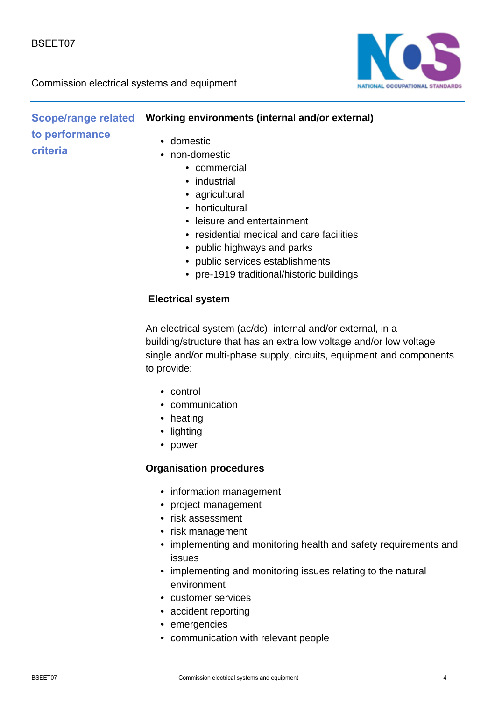

#### **Scope/range related Vorking environments (internal and/or external)** • domestic • non-domestic **to performance criteria**

- commercial
- industrial
- agricultural
- horticultural
- leisure and entertainment
- residential medical and care facilities
- public highways and parks
- public services establishments
- pre-1919 traditional/historic buildings

#### **Electrical system**

An electrical system (ac/dc), internal and/or external, in a building/structure that has an extra low voltage and/or low voltage single and/or multi-phase supply, circuits, equipment and components to provide:

- control
- communication
- heating
- lighting
- power

#### **Organisation procedures**

- information management
- project management
- risk assessment
- risk management
- implementing and monitoring health and safety requirements and issues
- implementing and monitoring issues relating to the natural environment
- customer services
- accident reporting
- emergencies
- communication with relevant people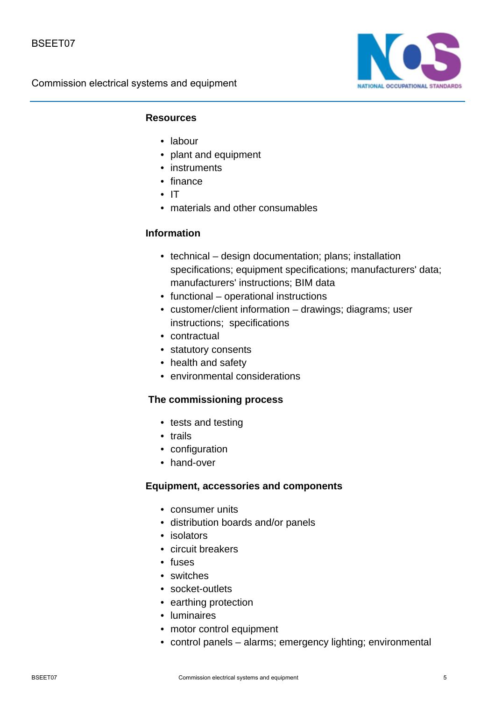

#### **Resources**

- labour
- plant and equipment
- instruments
- finance
- IT
- materials and other consumables

#### **Information**

- technical design documentation; plans; installation specifications; equipment specifications; manufacturers' data; manufacturers' instructions; BIM data
- functional operational instructions
- customer/client information drawings; diagrams; user instructions; specifications
- contractual
- statutory consents
- health and safety
- environmental considerations

#### **The commissioning process**

- tests and testing
- trails
- configuration
- hand-over

#### **Equipment, accessories and components**

- consumer units
- distribution boards and/or panels
- isolators
- circuit breakers
- fuses
- switches
- socket-outlets
- earthing protection
- luminaires
- motor control equipment
- control panels alarms; emergency lighting; environmental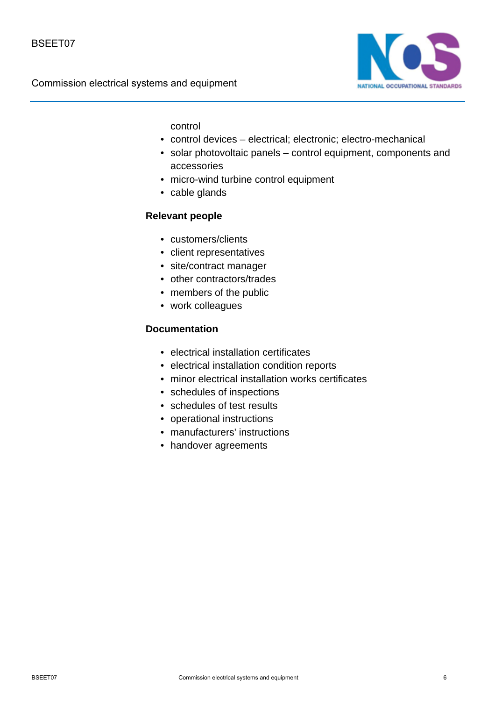

control

- control devices electrical; electronic; electro-mechanical
- solar photovoltaic panels control equipment, components and accessories
- micro-wind turbine control equipment
- cable glands

### **Relevant people**

- customers/clients
- client representatives
- site/contract manager
- other contractors/trades
- members of the public
- work colleagues

#### **Documentation**

- electrical installation certificates
- electrical installation condition reports
- minor electrical installation works certificates
- schedules of inspections
- schedules of test results
- operational instructions
- manufacturers' instructions
- handover agreements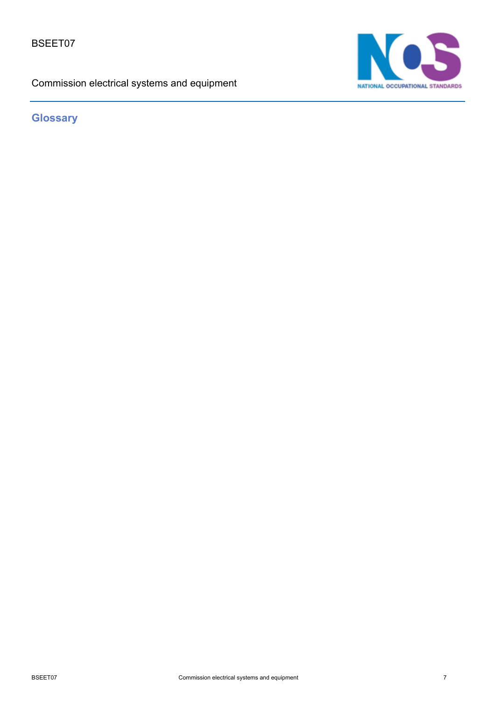BSEET07

Commission electrical systems and equipment



**Glossary**